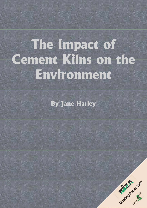# **The Impact of Cement Kilns on the Environment**

**By Jane Harley**

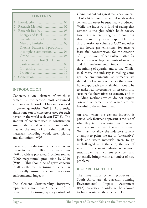#### **CONTENTS**

|    | (1)                             |
|----|---------------------------------|
|    | 2. Research Method  02          |
| 3. |                                 |
|    |                                 |
|    | Greenhouse Gas Emissions  05    |
|    | Mercury Emissions<br>05         |
|    | Dioxins, Furans and products of |
|    | incomplete combustion  06       |
|    | 08                              |
|    | Cement Kiln Dust (CKD) and      |
|    | particle emissions<br>08        |
|    | 10                              |
|    |                                 |
|    |                                 |
|    |                                 |

# **INTRODUCTION**

Concrete, a vital element of which is cement, is the second most consumed substance in the world. Only water is used in greater quantities [W01]. Apparently, almost one ton of concrete is used for each person in the world each year [W02]. The amount of concrete used in construction around the world is more than double that of the total of all other building materials, including wood, steel, plastic and aluminium [W03].

Currently, production of cement is in the region of 1.5 billion tons per annum [W04], with a projected 2 billion tonnes (2000 megatonnes) production by 2010 [W05]. This should be of grave concern to all, as the manufacturing of cement is intrinsically unsustainable, and has serious environmental impacts.

The Cement Sustainability Initiative, representing more than 50 percent of the cement manufacturing capacity outside of China, has put out a great many documents, all of which avoid the central truth – that cement can never be sustainably produced. While the industry is fond of saying that cement is the glue which holds society together, it generally neglects to point out that the industry is also responsible for a disproportionate volume of CO2 and other green house gas emissions, for massive fossil fuel consumption, for the creation of huge volumes of particulate matter, for the emission of large amounts of mercury and for environmental impacts through the mining of quarries and so on. While, in fairness, the industry is making some genuine environmental adjustments, we should not lose sight of the fact that a more honest approach to sustainability would be to make real investments in research into sustainable alternatives to cement, and to building methods which do not require concrete or cement, and which are less harmful to the environment

An area where the cement industry is particularly focussed at present is the use of what they term "alternative fuels", which translates to the use of waste as a fuel. We must not allow the industry's current attempts to paint the use of "alternative" fuels and waste materials green to go unchallenged – in the end, the use of waste in the cement industry is no more sustainable than current practices, and potentially brings with it a number of new problems.

# **RESEARCH METHOD**

The three major cement producers in South Africa are all currently running Environmental Impact Assessment (EIA) processes in order to be allowed to burn waste in their cement kilns. In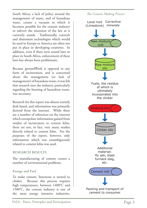South Africa, a lack of policy around the management of waste, and of hazardous waste, creates a vacuum in which it becomes possible for the cement industry to subvert the intention of the law as it currently stands. Traditionally, controls and abatement technologies which would be used in Europe or America are often not put in place in developing countries. In addition, even if there were sound laws in place in South Africa, enforcement of these laws has always been problematic.

Because groundWork is opposed to any form of incineration, and is concerned about the management (or lack of management) of hazardous waste, it was felt that research into the industry, particularly regarding the burning of hazardous waste, was necessary.

Research for this report was almost entirely desk based, and information was primarily derived from the internet. While there are a number of references on the internet which extrapolate information gained from studies of incinerators to cement kilns, there are not, in fact, very many studies directly related to cement kilns. For the purposes of the report, however, only information which was unambiguously related to cement kilns was used.

## **RESEARCH RESULTS**

The manufacturing of cement creates a number of environmental problems.

## **Energy and Fuel**

To make cement, limestone is turned to clinker. Because this process requires high temperatures, between 1400°C and 1500°C, the cement industry is one of the most energy intensive industries, *The Cement Making Process*

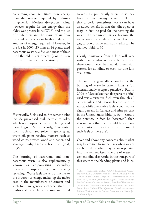consuming about ten times more energy than the average required by industry in general. Modern dry-process kilns, however, require far less energy than the older, wet-process kilns [W06], and the use of pre-burners and the re-use of air from the clinker coolers can further reduce the amount of energy required. However, in the US in 2003, 25 kilns at 14 plants used hazardous waste as a fuel and most of these used the older, wet process [Commission for Environmental Cooperation, p. 36].



Historically, fuels used to fire cement kilns include pulverised coal, petroleum coke, which is a by-product of oil refining, and natural gas. More recently, "alternative fuels" such as used solvents, spent tyres, waste oil, paint residue, biomass such as wood chips, treated wood and paper, and sewerage sludge have also been used [ibid, p. 36].

The burning of hazardous and nonhazardous waste is also euphemistically known as co-processing, secondary materials co-processing or energy recycling. Waste fuels are very attractive to the industry as energy makes up the major cost in the manufacture of cement and such fuels are generally cheaper than the traditional fuels. Tyres and used industrial

solvents are particularly attractive as they have calorific (energy) values similar to that of coal. Sometimes, waste can have an added benefit in that the kiln operator may, in fact, be paid for incinerating the waste. In certain countries, because the use of waste fuels reduces the use of oil and gas, carbon dioxide emission credits can be claimed [ibid, p. 36].

Clearly, emissions from a kiln will vary with exactly what is being burned, and there would never be a standard emission pattern for all kilns, or even for one kiln at all times.

The industry generally characterises the burning of waste in cement kilns as "an internationally accepted practice". But, in 2003 in Mexico less than five percent of fuel used was alternative fuel, even though all cement kilns in Mexico are licensed to burn waste, while alternative fuels accounted for eight percent in Canada and nine percent in the United States [ibid, p. 36]. Should the practice, in fact, be "accepted", then it is unlikely that there would be as many organisations militating against the use of such fuels as there are<sup>1</sup>.

Over and above any concerns about what may be emitted from the stack when wastes are burned, or what may be incorporated into the cement itself, the use of waste in cement kilns also results in the transport of this waste to the blending plants and kilns,

<sup>&</sup>lt;sup>1</sup> These organisations include CANK (Campaign Against **the New Kiln), Wiltshire Friends of the Earth and No To Cemex in the United Kingdom; Downwinders at Risk, Blue Skies, MATB (Montanans Against Toxic Burning), South Camden Citizens in Action, Friends of Hudson and the National Citizens Cement Kiln Coalition in the United States; Sierra Club and Earth Justice in Canada; Association Paillons Environment in France; Greenpeace in Spain; JA! in Mozambique.**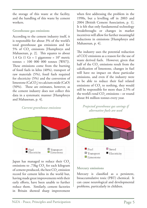the storage of this waste at the facility, and the handling of this waste by cement workers.

## **Greenhouse gas emissions**

According to the cement industry itself, it is responsible for about 3% of the world's total greenhouse gas emissions and for 5% of  $CO<sub>2</sub>$  emissions [Humphreys and Mahasenan, p. 2]. This equates to about 1.4 Gt (1 Gt = 1 gigatonne =  $10^9$  metric  $t$ onnes = 100 000 000 tonnes  $[ W 0 7 ]$ . These emissions come from the burning of fossil fuels in kilns (40%), transport of raw materials (5%), fossil fuels required for electricity (5%) and the conversion of limestone (CaCO<sub>3</sub>) to calcium oxide (CaO) (50%). These are estimates, however, as the cement industry does not collect this data in a systematic manner [Humphreys and Mahasenan, p. 4].

*Current greenhouse emissions*



Japan has managed to reduce their CO<sub>2</sub> emissions to .73kg  $CO<sub>2</sub>$  for each kilogram of cement produced, the best  $\mathrm{CO}_2$  emission record for cement kilns in the world but, having made great improvements with their early efforts, have been unable to further reduce them. Similarly, cement factories in Britain showed sharp improvement

when first addressing the problem in the 1990s, but a levelling off in 2003 and 2004 [British Cement Association, p. 1]. It is felt that only fundamental technology breakthroughs or changes in market incentives will allow for further meaningful reductions in emissions [Humphreys and Mahasenan, p. 4].

The industry uses the potential reduction of CO2 emissions as a reason for the use of waste derived fuels. However, given that half of the  $CO_2$  emissions result from the calcification of limestone, changes in fuel will have no impact on these particular emissions, and even if the industry were to be able to reduce their fuel related emissions of  $CO<sub>2</sub>$  to nothing, they would still be responsible for more than 2.5% of the world's total  $CO_2$  emissions – or round about 84 million tonnes every year.

*Projected greenhouse gas savings if alternative fuels are used*



## **Mercury emissions**

Mercury is classified as a persistent, bioaccumulative toxic (PBT) chemical. It can cause neurological and developmental problems, particularly in children.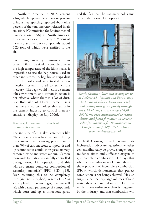In Northern America in 2003, cement kilns, which represent less than one percent of industries reporting, reported about nine percent of the total mercury released in air emissions [Commission for Environmental Co-operation, p.56] in North America. This equates to approximately 5.75 tons of mercury and mercury compounds, about 5.23 tons of which were emitted to the air.

Controlling mercury emissions from cement kilns is particularly troublesome as the high temperature of the kilns makes it impossible to use the bag houses used in other industries. A bag house traps dust from the boiler and an activated carbon injection system is used to extract the mercury. The bags would melt in a cement kiln environment, and carbon injection is not effective where there is a lot of dust. Luc Robitaille of Holcim cement says that there is no technology that exists in the cement industry to control mercury emissions [Shapley, 16 July 2006].

## **Dioxins, Furans and products of incomplete combustion**

The industry often makes statements like "When using secondary materials during the cement manufacturing process, more than 99% of carbonaceous compounds end up as innocuous combustion gases, namely carbon dioxide and water vapour. Carbon monoxide formation is carefully controlled during normal kiln operation, and this will also ensure complete combustion of secondary materials" [PPC BID, p15]. Even assuming this to be completely true (and not everybody regards CO2 as a completely innocuous gas), we are still left with a small percentage of compounds which don't end up as innocuous gases,

and the fact that the statement holds true only under normal kiln operation.



*Castle Cement's filter and cooling tower at Padeswood. Dioxins and Furans may be produced when exhaust gases cool, and cooling these gases quickly through the critical temperature range of 450 to 200°C has been demonstrated to reduce dioxin and furan formation in cement kilns [Commission for Environmental Co-operation, p. 60]. Picture from www.castlecement.co.uk.*

Dr Neil Carmen, a well known antiincineration advocate, questions whether cement kilns really do provide long enough residence times and sufficient oxygen to give complete combustion. He says that when cement kilns are stack tested they still show products of incomplete combustion (PICs), which demonstrates that perfect combustion is not being achieved. He also suggests that the very large volumes of solid materials which are fed into the kiln may result in less turbulence than is suggested by the industry, and that combustion will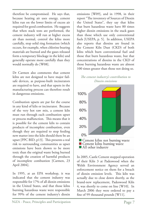therefore be compromised. He says that, because heating air uses energy, cement kilns run on the lower limits of excess air required for good combustion. He suggests that when stack tests are performed, the cement industry will run at higher excess air than normal, control the kilns more carefully, stop solid ring formation (which occurs, for example, when chlorine bearing materials are burned and the gases released form a temporary blockage in the kiln) and generally operate more carefully than they would normally do [W08].

Dr Carmen also comments that cement kilns are not designed to have major failsafe devices, as purpose-built incinerators are required to have, and that upsets in the manufacturing process can therefore result in dangerous emissions.

Combustion upsets are par for the course in any kind of kiln or incinerator. Because of the very hot raw mix, a cement kiln must run through each combustion upset or process malfunction. This means that it is possible for the cement kiln to contain products of incomplete combustion, even though they are required to stop feeding new matter into the kiln should there be an upset [PPC BID, p13]. This presents a real risk to surrounding communities as upset emissions have been shown to be more toxic than the original waste being burned through the creation of harmful products of incomplete combustion [Carmen, 23 April 2004].

In 1995, at an EPA workshop, it was indicated that the cement industry was responsible for 17% of all dioxin emissions in the United States, and that those kilns burning hazardous waste were responsible for 99% of the cement industry's dioxin emissions [W09], and in 1998, in their report "The inventory of Sources of Dioxin the United States", they say that kilns that burn hazardous waste have 80 times higher dioxin emissions in the stack gases than those which use only conventional fuels [USEPA, p. 5]. In addition, USEPA also reports that dioxins are found in the Cement Kiln Dust (CKD) of both kilns which burn conventional fuel and those that burn hazardous waste, but that concentrations of dioxins in the CKD of those burning hazardous waste are almost 100 times greater than those not doing so.

*The cement industry's contribution to Dioxin emissions*



In 2005, Castle Cement stopped operation of their Kiln 3 at Padeswood when the Welsh Environment Agency served an enforcement notice on them for a breach of dioxin emission levels. This kiln was actually due to close down shortly, as the brand-new replacement, Padeswood Kiln 4, was shortly to come on line [W10]. In March 2006 they were ordered to pay a fine of 99 thousand pounds [W11].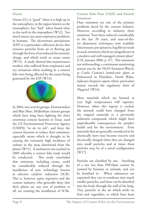#### **Ozone**

Ozone  $(O_3)$  is "good" when it is high up in the atmosphere, in the region known as the stratosphere, but "bad" when found close to the earth in the troposphere [W12]. Too much ozone can cause respiratory problems in humans. The electrostatic precipitator (ESP) is a particulate collection device that removes particles from air or flowing gas through the force of an induced electrostatic charge, and which tends to create ozone [W13]. A study showed that maintenance workers who suffered from respiratory and eye irritations when working in a cement kiln were being affected by the ozone being generated by the ESP [W14].



In 2004, two activist groups, Downwinders and Blue Skies, Midlothian citizens groups which have long been fighting the three enormous cement factories in Texas, sued the US Environmental Protection Agency (USEPA) "to do its job", and force the cement factories to reduce their emissions, especially ozone which is thought to be causing the extremely high incidence of asthma in the areas downwind from the plants [W15]. A settlement was reached in 2005 whereby a cement kiln study would be conducted. This study concluded that emissions, including ozone, could be considerably reduced through the installation of new technology known as selective catalytic reduction (SCR). This is, however, quite expensive and the cement industry, who generally deny that their plants are any sort of problem at all, are resisting the installation of SCRs. **Cement Kiln Dust (CKD) and Particle Emissions**

Dust emissions are one of the primary problems faced by the cement industry. However, according to industry, these emissions "have been reduced considerably in the last 20 years, and state-of-theart abatement techniques now available (electrostatic precipitators, bag filters) result in stack emissions which are insignificant in a modern and well managed cement plant" [CSI, January 2006, p. 47]. This statement not withstanding, a continuous monitoring system run by the NGO Emission-Watch, at Castle Cement's brand-new plant at Padeswood in Flintshire, North Wales, indicates frequent upsets where particulate matter exceeds the regulatory limit of 50µg/m3 [W16].

Most materials which are burned at very high temperatures will vaporise. However, when this vapour is cooled, the aerosols could have changed from the original materials to a previously unknown compound, which might have unpredictable consequences for people's health and for the environment. Even materials that are generally considered to be chemically inert may become reactive and electrically charged when they are changed into small particles and at times these particles may be of a novel configuration [W17].

Particles are classified by size. Anything of a size less than PM10µm cannot be resisted by humans or animals, and can be breathed in. When substances are vaporised they can re-condense into much smaller particles, and these can be absorbed into the body through the wall of the lung. Tiny particles in the air which settle on fruit and vegetables, or which have been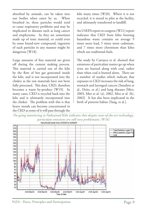absorbed by animals, can be taken into our bodies when eaten by us. When breathed in, these particles would tend to cause respiratory problems and may be implicated in diseases such as lung cancer and emphysema. As they are sometimes made up of toxic material, or could even be some brand-new compound, ingestion of such particles in any manner might be dangerous [W18].

Large amounts of fine material are given off during the cement making process. This material is carried out of the kiln by the flow of hot gas generated inside the kiln, and is not incorporated into the clinker as the raw materials have not been fully processed. This dust, CKD, therefore becomes a waste by-product [W19]. In many cases, CKD is recycled back into the kiln and is ultimately incorporated into the clinker. The problem with this is that heavy metals can become concentrated in the CKD as some of it will pass through the

kiln many times [W20]. Where it is not recycled, it is stored in piles at the facility, and ultimately transferred to landfill.

An USEPA report to congress [W21] report indicates that CKD from kilns burning hazardous waste contains on average 9 times more lead, 5 times more cadmium, and 7 times more chromium than kilns which use traditional fuels.

The study by Carrasco et al. showed that emissions of particulate matter go up when tyres are burned along with coal, rather than when coal is burned alone. There are a number of studies which indicate that exposure to CKD increases the risk of lung, stomach and laryngeal cancers [Smailyte et al., Deitz, et al.] and lung diseases [Meo, 2003, Meo et al. (a), 2002, Meo et al. (b), 2002]. It has also been implicated in the birth of preterm babies [Yang, et al.].



**NiZA - Peace, Principles and Participation Page 9**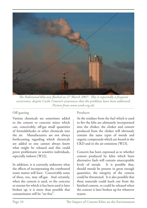

*The Padeswood kiln was flushed on 27 March 2007. This is reportedly a frequent occurrence, despite Castle Cement's assurances that the problems have been addressed. Picture from www.cank.org.uk.*

# **Off-gassing**

Various chemicals are sometimes added to the cement or concrete mixes which can, conceivably, off-gas small quantities of formaldehydes or other chemicals into the air. Manufacturers are not always forthcoming regarding which chemicals are added so one cannot always know what might be released and this could prove problematic to sensitive individuals, especially indoors [W22].

In addition, it is currently unknown what the effects of incorporating the combusted waste matter will have. Conceivably some of these, too, may off-gas. And certainly, when the cement is used, or the concrete or mortar for which it has been used is later broken up, it is more than possible that contaminants will be "set free".

## **Products**

As the residues from the fuel which is used to fire the kiln are ultimately incorporated into the clinker, the clinker and cement produced from the clinker will obviously contain the same types of metals and organic compounds which are found in the CKD and in the air emissions [W23].

Concern has been expressed as to whether cement produced by kilns which burn alternative fuels will contain unacceptable levels of metals. It is possible that, should metals be present in great enough quantities, the integrity of the cement could be threatened. It is also possible that these materials could leach out from the finished cement, or could be released when the cement is later broken up for whatever reason.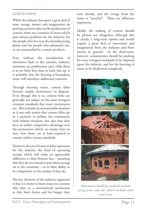## **CONCLUSION**

While the industry has spent a great deal of time, energy, money and imagination on putting a positive spin on the production of cement, there are a number of issues which pose serious problems for the industry, for the people who live near the manufacturing plants and the people who ultimately use, or are surrounded by, cement products.

Even without the introduction of alternative fuels to the scenario, industry emissions are problematic and, while there is as yet little firm data to back this up, it is probable that the burning of hazardous waste will introduce additional concerns.

Through burning waste, cement kilns become simply incinerators in disguise. Even though this is so, cement kilns are generally not subject to the same stringent emission standards that waste incinerators are. This is clearly an unreasonable situation as it not only means that cement kilns are in a position to pollute the community with relative freedom, but also that they have an unfair competitive advantage over the incinerators which, no matter how we may view them, are at least required to remain within certain standards.

However, the use of waste in kilns represents for the industry the kind of operating savings which will make an appreciable difference to their bottom line – assuming that they do not intend to pass these savings on to the consumer – or to their ability to be competitive in the market if they do.

The key elements of the industry argument is that it is better to burn waste in a cement kiln than in a conventional incinerator as they burn hotter and for longer, they exist already, and the energy from the waste is "recycled". These are fallacious arguments.

Ideally, the making of cement should be phased out altogether, although this is clearly a long-term option and would require a great deal of innovation and imagination from the industry and from society in general. In the short-term, however, communities should be pushing for more stringent standards to be imposed upon the industry, and for the burning of waste to be disallowed completely.



*Alternative building methods include using straw and cob, which includes mud and stone*